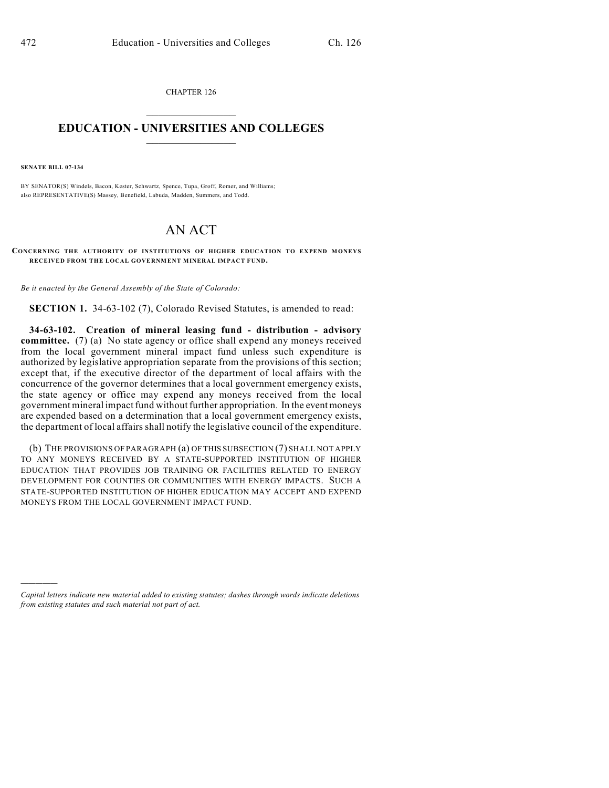CHAPTER 126  $\mathcal{L}_\text{max}$  . The set of the set of the set of the set of the set of the set of the set of the set of the set of the set of the set of the set of the set of the set of the set of the set of the set of the set of the set

## **EDUCATION - UNIVERSITIES AND COLLEGES**  $\frac{1}{2}$  ,  $\frac{1}{2}$  ,  $\frac{1}{2}$  ,  $\frac{1}{2}$  ,  $\frac{1}{2}$  ,  $\frac{1}{2}$  ,  $\frac{1}{2}$

**SENATE BILL 07-134**

)))))

BY SENATOR(S) Windels, Bacon, Kester, Schwartz, Spence, Tupa, Groff, Romer, and Williams; also REPRESENTATIVE(S) Massey, Benefield, Labuda, Madden, Summers, and Todd.

## AN ACT

**CONCERNING THE AUTHORITY OF INSTITUTIONS OF HIGHER EDUCATION TO EXPEND MONEYS RECEIVED FROM THE LOCAL GOVERNMENT MINERAL IMPACT FUND.**

*Be it enacted by the General Assembly of the State of Colorado:*

**SECTION 1.** 34-63-102 (7), Colorado Revised Statutes, is amended to read:

**34-63-102. Creation of mineral leasing fund - distribution - advisory committee.** (7) (a) No state agency or office shall expend any moneys received from the local government mineral impact fund unless such expenditure is authorized by legislative appropriation separate from the provisions of this section; except that, if the executive director of the department of local affairs with the concurrence of the governor determines that a local government emergency exists, the state agency or office may expend any moneys received from the local government mineral impact fund without further appropriation. In the event moneys are expended based on a determination that a local government emergency exists, the department of local affairs shall notify the legislative council of the expenditure.

(b) THE PROVISIONS OF PARAGRAPH (a) OF THIS SUBSECTION (7) SHALL NOT APPLY TO ANY MONEYS RECEIVED BY A STATE-SUPPORTED INSTITUTION OF HIGHER EDUCATION THAT PROVIDES JOB TRAINING OR FACILITIES RELATED TO ENERGY DEVELOPMENT FOR COUNTIES OR COMMUNITIES WITH ENERGY IMPACTS. SUCH A STATE-SUPPORTED INSTITUTION OF HIGHER EDUCATION MAY ACCEPT AND EXPEND MONEYS FROM THE LOCAL GOVERNMENT IMPACT FUND.

*Capital letters indicate new material added to existing statutes; dashes through words indicate deletions from existing statutes and such material not part of act.*